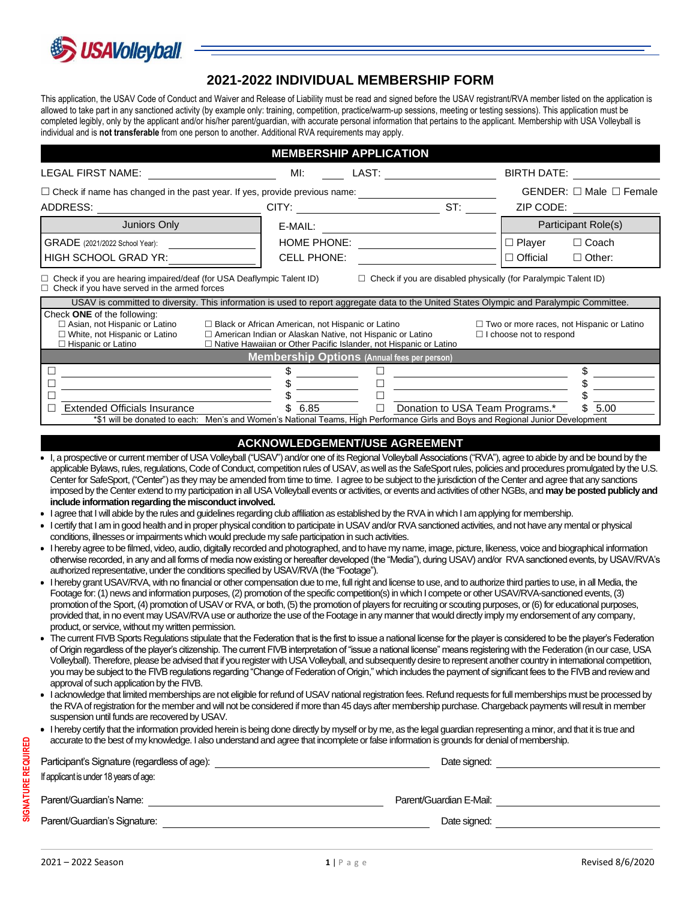

## **2021-2022 INDIVIDUAL MEMBERSHIP FORM**

This application, the USAV Code of Conduct and Waiver and Release of Liability must be read and signed before the USAV registrant/RVA member listed on the application is allowed to take part in any sanctioned activity (by example only: training, competition, practice/warm-up sessions, meeting or testing sessions). This application must be completed legibly, only by the applicant and/or his/her parent/guardian, with accurate personal information that pertains to the applicant. Membership with USA Volleyball is individual and is **not transferable** from one person to another. Additional RVA requirements may apply.

| <b>MEMBERSHIP APPLICATION</b>                                                                                                                                                                                                                                                                                                                                                                                                                                                                                                                                                                                                                                                                                                                                                                                                                                                                                                                                                                                                                                                                                                                                                                                                                                                                                                                                                                                                                                                                                                                                                                                                                                                                                                                                                                                                                                                                                                                                                                                                                                                                                                                                                                                                                                                                                                                                                                                                                                                                                                                                                                                                                                                                                                                                                                                                                                                                                                                                                                                                                                                                                                                                                                                                                                                                                                                                                                                                  |                                   |                                                    |                                 |                                  |                                   |  |  |
|--------------------------------------------------------------------------------------------------------------------------------------------------------------------------------------------------------------------------------------------------------------------------------------------------------------------------------------------------------------------------------------------------------------------------------------------------------------------------------------------------------------------------------------------------------------------------------------------------------------------------------------------------------------------------------------------------------------------------------------------------------------------------------------------------------------------------------------------------------------------------------------------------------------------------------------------------------------------------------------------------------------------------------------------------------------------------------------------------------------------------------------------------------------------------------------------------------------------------------------------------------------------------------------------------------------------------------------------------------------------------------------------------------------------------------------------------------------------------------------------------------------------------------------------------------------------------------------------------------------------------------------------------------------------------------------------------------------------------------------------------------------------------------------------------------------------------------------------------------------------------------------------------------------------------------------------------------------------------------------------------------------------------------------------------------------------------------------------------------------------------------------------------------------------------------------------------------------------------------------------------------------------------------------------------------------------------------------------------------------------------------------------------------------------------------------------------------------------------------------------------------------------------------------------------------------------------------------------------------------------------------------------------------------------------------------------------------------------------------------------------------------------------------------------------------------------------------------------------------------------------------------------------------------------------------------------------------------------------------------------------------------------------------------------------------------------------------------------------------------------------------------------------------------------------------------------------------------------------------------------------------------------------------------------------------------------------------------------------------------------------------------------------------------------------------|-----------------------------------|----------------------------------------------------|---------------------------------|----------------------------------|-----------------------------------|--|--|
| LEGAL FIRST NAME:                                                                                                                                                                                                                                                                                                                                                                                                                                                                                                                                                                                                                                                                                                                                                                                                                                                                                                                                                                                                                                                                                                                                                                                                                                                                                                                                                                                                                                                                                                                                                                                                                                                                                                                                                                                                                                                                                                                                                                                                                                                                                                                                                                                                                                                                                                                                                                                                                                                                                                                                                                                                                                                                                                                                                                                                                                                                                                                                                                                                                                                                                                                                                                                                                                                                                                                                                                                                              | MI:                               | LAST:                                              |                                 | <b>BIRTH DATE:</b>               |                                   |  |  |
| $\Box$ Check if name has changed in the past year. If yes, provide previous name:<br>ADDRESS:                                                                                                                                                                                                                                                                                                                                                                                                                                                                                                                                                                                                                                                                                                                                                                                                                                                                                                                                                                                                                                                                                                                                                                                                                                                                                                                                                                                                                                                                                                                                                                                                                                                                                                                                                                                                                                                                                                                                                                                                                                                                                                                                                                                                                                                                                                                                                                                                                                                                                                                                                                                                                                                                                                                                                                                                                                                                                                                                                                                                                                                                                                                                                                                                                                                                                                                                  |                                   |                                                    |                                 | ZIP CODE:                        | GENDER: $\Box$ Male $\Box$ Female |  |  |
| Juniors Only                                                                                                                                                                                                                                                                                                                                                                                                                                                                                                                                                                                                                                                                                                                                                                                                                                                                                                                                                                                                                                                                                                                                                                                                                                                                                                                                                                                                                                                                                                                                                                                                                                                                                                                                                                                                                                                                                                                                                                                                                                                                                                                                                                                                                                                                                                                                                                                                                                                                                                                                                                                                                                                                                                                                                                                                                                                                                                                                                                                                                                                                                                                                                                                                                                                                                                                                                                                                                   | E-MAIL:                           |                                                    |                                 |                                  | Participant Role(s)               |  |  |
| GRADE (2021/2022 School Year):<br>HIGH SCHOOL GRAD YR:                                                                                                                                                                                                                                                                                                                                                                                                                                                                                                                                                                                                                                                                                                                                                                                                                                                                                                                                                                                                                                                                                                                                                                                                                                                                                                                                                                                                                                                                                                                                                                                                                                                                                                                                                                                                                                                                                                                                                                                                                                                                                                                                                                                                                                                                                                                                                                                                                                                                                                                                                                                                                                                                                                                                                                                                                                                                                                                                                                                                                                                                                                                                                                                                                                                                                                                                                                         | HOME PHONE:<br><b>CELL PHONE:</b> |                                                    |                                 | $\Box$ Player<br>$\Box$ Official | $\Box$ Coach<br>$\Box$ Other:     |  |  |
| $\Box$ Check if you are hearing impaired/deaf (for USA Deaflympic Talent ID)<br>$\Box$ Check if you are disabled physically (for Paralympic Talent ID)<br>$\Box$ Check if you have served in the armed forces                                                                                                                                                                                                                                                                                                                                                                                                                                                                                                                                                                                                                                                                                                                                                                                                                                                                                                                                                                                                                                                                                                                                                                                                                                                                                                                                                                                                                                                                                                                                                                                                                                                                                                                                                                                                                                                                                                                                                                                                                                                                                                                                                                                                                                                                                                                                                                                                                                                                                                                                                                                                                                                                                                                                                                                                                                                                                                                                                                                                                                                                                                                                                                                                                  |                                   |                                                    |                                 |                                  |                                   |  |  |
| USAV is committed to diversity. This information is used to report aggregate data to the United States Olympic and Paralympic Committee.<br>Check ONE of the following:<br>$\Box$ Asian, not Hispanic or Latino<br>$\Box$ Black or African American, not Hispanic or Latino<br>$\Box$ Two or more races, not Hispanic or Latino<br>□ White, not Hispanic or Latino<br>□ American Indian or Alaskan Native, not Hispanic or Latino<br>$\Box$ I choose not to respond<br>□ Native Hawaiian or Other Pacific Islander, not Hispanic or Latino<br>$\Box$ Hispanic or Latino                                                                                                                                                                                                                                                                                                                                                                                                                                                                                                                                                                                                                                                                                                                                                                                                                                                                                                                                                                                                                                                                                                                                                                                                                                                                                                                                                                                                                                                                                                                                                                                                                                                                                                                                                                                                                                                                                                                                                                                                                                                                                                                                                                                                                                                                                                                                                                                                                                                                                                                                                                                                                                                                                                                                                                                                                                                        |                                   |                                                    |                                 |                                  |                                   |  |  |
|                                                                                                                                                                                                                                                                                                                                                                                                                                                                                                                                                                                                                                                                                                                                                                                                                                                                                                                                                                                                                                                                                                                                                                                                                                                                                                                                                                                                                                                                                                                                                                                                                                                                                                                                                                                                                                                                                                                                                                                                                                                                                                                                                                                                                                                                                                                                                                                                                                                                                                                                                                                                                                                                                                                                                                                                                                                                                                                                                                                                                                                                                                                                                                                                                                                                                                                                                                                                                                |                                   | <b>Membership Options (Annual fees per person)</b> |                                 |                                  |                                   |  |  |
| ⊔<br>$\Box$<br><b>Extended Officials Insurance</b><br>*\$1 will be donated to each: Men's and Women's National Teams, High Performance Girls and Boys and Regional Junior Development                                                                                                                                                                                                                                                                                                                                                                                                                                                                                                                                                                                                                                                                                                                                                                                                                                                                                                                                                                                                                                                                                                                                                                                                                                                                                                                                                                                                                                                                                                                                                                                                                                                                                                                                                                                                                                                                                                                                                                                                                                                                                                                                                                                                                                                                                                                                                                                                                                                                                                                                                                                                                                                                                                                                                                                                                                                                                                                                                                                                                                                                                                                                                                                                                                          | 6.85                              | ⊔<br>⊔<br>$\Box$                                   | Donation to USA Team Programs.* |                                  | \$<br>5.00                        |  |  |
| imposed by the Center extend to my participation in all USA Volleyball events or activities, or events and activities of other NGBs, and may be posted publicly and<br>include information regarding the misconduct involved.<br>• I agree that I will abide by the rules and guidelines regarding club affiliation as established by the RVA in which I am applying for membership.<br>• I certify that I am in good health and in proper physical condition to participate in USAV and/or RVA sanctioned activities, and not have any mental or physical<br>conditions, illnesses or impairments which would preclude my safe participation in such activities.<br>• I hereby agree to be filmed, video, audio, digitally recorded and photographed, and to have my name, image, picture, likeness, voice and biographical information<br>otherwise recorded, in any and all forms of media now existing or hereafter developed (the "Media"), during USAV) and/or RVA sanctioned events, by USAV/RVA's<br>authorized representative, under the conditions specified by USAV/RVA (the "Footage").<br>• I hereby grant USAV/RVA, with no financial or other compensation due to me, full right and license to use, and to authorize third parties to use, in all Media, the<br>Footage for: (1) news and information purposes, (2) promotion of the specific competition(s) in which I compete or other USAV/RVA-sanctioned events, (3)<br>promotion of the Sport, (4) promotion of USAV or RVA, or both, (5) the promotion of players for recruiting or scouting purposes, or (6) for educational purposes,<br>provided that, in no event may USAV/RVA use or authorize the use of the Footage in any manner that would directly imply my endorsement of any company,<br>product, or service, without my written permission.<br>The current FIVB Sports Regulations stipulate that the Federation that is the first to issue a national license for the player is considered to be the player's Federation<br>of Origin regardless of the player's citizenship. The current FIVB interpretation of "issue a national license" means registering with the Federation (in our case, USA<br>Volleyball). Therefore, please be advised that if you register with USA Volleyball, and subsequently desire to represent another country in international competition,<br>you may be subject to the FIVB regulations regarding "Change of Federation of Origin," which includes the payment of significant fees to the FIVB and review and<br>approval of such application by the FIVB.<br>• lacknowledge that limited memberships are not eligible for refund of USAV national registration fees. Refund requests for full memberships must be processed by<br>the RVA of registration for the member and will not be considered if more than 45 days after membership purchase. Chargeback payments will result in member<br>suspension until funds are recovered by USAV.<br>• I hereby certify that the information provided herein is being done directly by myself or by me, as the legal guardian representing a minor, and that it is true and<br>accurate to the best of my knowledge. I also understand and agree that incomplete or false information is grounds for denial of membership.<br>Participant's Signature (regardless of age): ___________________________________<br>If applicant is under 18 years of age: |                                   |                                                    |                                 |                                  |                                   |  |  |
|                                                                                                                                                                                                                                                                                                                                                                                                                                                                                                                                                                                                                                                                                                                                                                                                                                                                                                                                                                                                                                                                                                                                                                                                                                                                                                                                                                                                                                                                                                                                                                                                                                                                                                                                                                                                                                                                                                                                                                                                                                                                                                                                                                                                                                                                                                                                                                                                                                                                                                                                                                                                                                                                                                                                                                                                                                                                                                                                                                                                                                                                                                                                                                                                                                                                                                                                                                                                                                |                                   |                                                    |                                 |                                  |                                   |  |  |
|                                                                                                                                                                                                                                                                                                                                                                                                                                                                                                                                                                                                                                                                                                                                                                                                                                                                                                                                                                                                                                                                                                                                                                                                                                                                                                                                                                                                                                                                                                                                                                                                                                                                                                                                                                                                                                                                                                                                                                                                                                                                                                                                                                                                                                                                                                                                                                                                                                                                                                                                                                                                                                                                                                                                                                                                                                                                                                                                                                                                                                                                                                                                                                                                                                                                                                                                                                                                                                |                                   |                                                    |                                 |                                  |                                   |  |  |

**REQUIRED**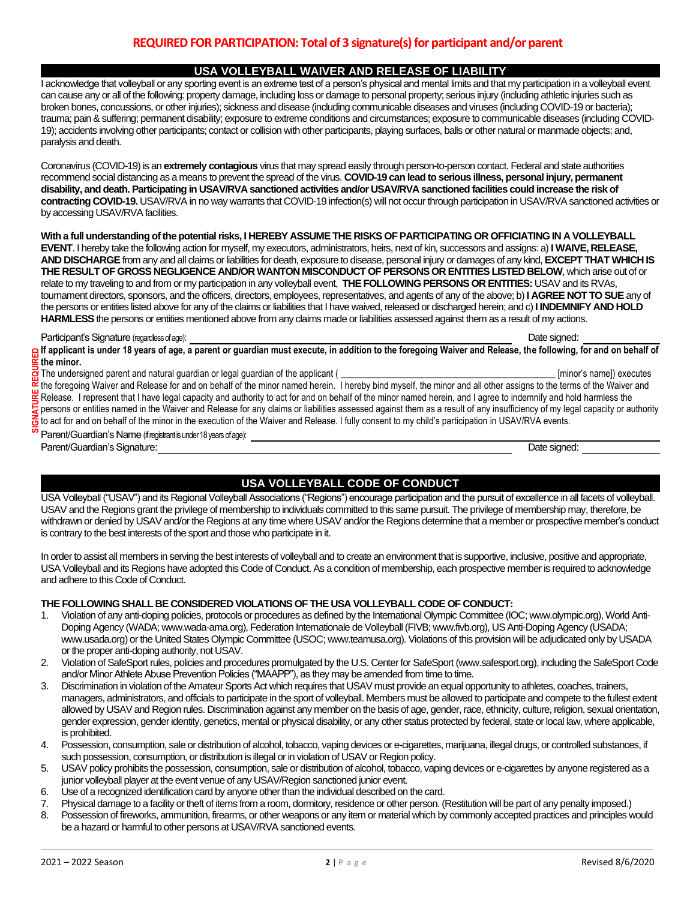## **USA VOLLEYBALL WAIVER AND RELEASE OF LIABILITY**

I acknowledge that volleyball or any sporting event is an extreme test of a person's physical and mental limits and that my participation in a volleyball event can cause any or all of the following: property damage, including loss or damage to personal property; serious injury (including athletic injuries such as broken bones, concussions, or other injuries); sickness and disease (including communicable diseases and viruses (including COVID-19 or bacteria); trauma; pain & suffering; permanent disability; exposure to extreme conditions and circumstances; exposure to communicable diseases (including COVID-19); accidents involving other participants; contact or collision with other participants, playing surfaces, balls or other natural or manmade objects; and, paralysis and death.

Coronavirus (COVID-19) is an **extremely contagious** virus that may spread easily through person-to-person contact. Federal and state authorities recommend social distancing as a means to prevent the spread of the virus. **COVID-19 can lead to serious illness, personal injury, permanent disability, and death. Participating in USAV/RVA sanctioned activities and/or USAV/RVA sanctioned facilities could increase the risk of contracting COVID-19.** USAV/RVA in no way warrants that COVID-19 infection(s) will not occur through participation in USAV/RVA sanctioned activities or by accessing USAV/RVA facilities.

**With a full understanding of the potential risks, I HEREBY ASSUME THE RISKS OF PARTICIPATING OR OFFICIATING IN A VOLLEYBALL EVENT**. I hereby take the following action for myself, my executors, administrators, heirs, next of kin, successors and assigns: a) **I WAIVE, RELEASE, AND DISCHARGE** from any and all claims or liabilities for death, exposure to disease, personal injury or damages of any kind, **EXCEPT THAT WHICH IS THE RESULT OF GROSS NEGLIGENCE AND/OR WANTON MISCONDUCT OF PERSONS OR ENTITIES LISTED BELOW**, which arise out of or relate to my traveling to and from or my participation in any volleyball event, **THE FOLLOWING PERSONS OR ENTITIES:** USAV and its RVAs, tournament directors, sponsors, and the officers, directors, employees, representatives, and agents of any of the above; b) **I AGREE NOT TO SUE** any of the persons or entities listed above for any of the claims or liabilities that I have waived, released or discharged herein; and c)**I INDEMNIFY AND HOLD HARMLESS**the persons or entities mentioned above from any claims made or liabilities assessed against them as a result of my actions.

Participant's Signature (regardless of age):  $\blacksquare$ 

**If applicant is under 18 years of age, a parent or guardian must execute, in addition to the foregoing Waiver and Release, the following, for and on behalf of the minor.** 

The undersigned parent and natural guardian or legal guardian of the applicant ( **\_\_\_\_\_\_\_\_\_\_\_\_\_\_\_\_\_\_\_\_\_\_\_\_\_\_\_\_\_\_\_\_\_\_\_\_\_\_\_\_\_\_\_\_\_\_** [minor's name]) executes

the foregoing Waiver and Release for and on behalf of the minor named herein. I hereby bind myself, the minor and all other assigns to the terms of the Waiver and Release. I represent that I have legal capacity and authority to act for and on behalf of the minor named herein, and I agree to indemnify and hold harmless the persons or entities named in the Waiver and Release for any claims or liabilities assessed against them as a result of any insufficiency of my legal capacity or authority to act for and on behalf of the minor in the execution of the Waiver and Release. I fully consent to my child's participation in USAV/RVA events. **SIGNATURE REQUIRED**

Parent/Guardian's Name (if registrant is under 18 years of age): Parent/Guardian's Signature: **Date signed:** Date signed: Date signed: Date signed: Date signed: Date signed: Date signed: Date signed: Date signed: Date signed: Date signed: Date signed: Date signed: Date signed: Date sign

## **USA VOLLEYBALL CODE OF CONDUCT**

USA Volleyball ("USAV") and its Regional Volleyball Associations ("Regions") encourage participation and the pursuit of excellence in all facets of volleyball. USAV and the Regions grant the privilege of membership to individuals committed to this same pursuit. The privilege of membership may, therefore, be withdrawn or denied by USAV and/or the Regions at any time where USAV and/or the Regions determine that a member or prospective member's conduct is contrary to the best interests of the sport and those who participate in it.

In order to assist all members in serving the best interests of volleyball and to create an environment that is supportive, inclusive, positive and appropriate, USA Volleyball and its Regions have adopted this Code of Conduct. As a condition of membership, each prospective member is required to acknowledge and adhere to this Code of Conduct.

## **THE FOLLOWING SHALL BE CONSIDERED VIOLATIONS OF THE USA VOLLEYBALL CODE OF CONDUCT:**

- 1. Violation of any anti-doping policies, protocols or procedures as defined by the International Olympic Committee (IOC; www.olympic.org), World Anti-Doping Agency (WADA; www.wada-ama.org), Federation Internationale de Volleyball (FIVB; www.fivb.org), US Anti-Doping Agency (USADA; www.usada.org) or the United States Olympic Committee (USOC; www.teamusa.org). Violations of this provision will be adjudicated only by USADA or the proper anti-doping authority, not USAV.
- 2. Violation of SafeSport rules, policies and procedures promulgated by the U.S. Center for SafeSport (www.safesport.org), including the SafeSport Code and/or Minor Athlete Abuse Prevention Policies ("MAAPP"), as they may be amended from time to time.
- 3. Discrimination in violation of the Amateur Sports Act which requires that USAV must provide an equal opportunity to athletes, coaches, trainers, managers, administrators, and officials to participate in the sport of volleyball. Members must be allowed to participate and compete to the fullest extent allowed by USAV and Region rules. Discrimination against any member on the basis of age, gender, race, ethnicity, culture, religion, sexual orientation, gender expression, gender identity, genetics, mental or physical disability, or any other status protected by federal, state or local law, where applicable, is prohibited.
- 4. Possession, consumption, sale or distribution of alcohol, tobacco, vaping devices or e-cigarettes, marijuana, illegal drugs, or controlled substances, if such possession, consumption, or distribution is illegal or in violation of USAV or Region policy.
- 5. USAV policy prohibits the possession, consumption, sale or distribution of alcohol, tobacco, vaping devices or e-cigarettes by anyone registered as a junior volleyball player at the event venue of any USAV/Region sanctioned junior event.
- 6. Use of a recognized identification card by anyone other than the individual described on the card.
- 7. Physical damage to a facility or theft of items from a room, dormitory, residence or other person. (Restitution will be part of any penalty imposed.)
- 8. Possession of fireworks, ammunition, firearms, or other weapons or any item or material which by commonly accepted practices and principles would be a hazard or harmful to other persons at USAV/RVA sanctioned events.